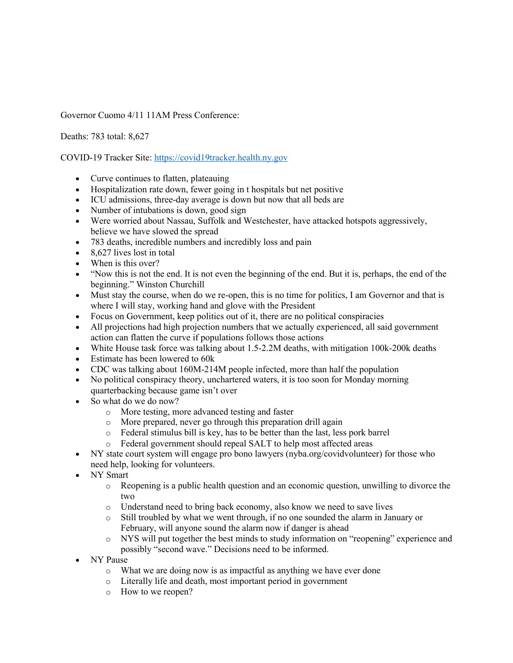Governor Cuomo 4/11 11AM Press Conference:

Deaths: 783 total: 8,627

COVID-19 Tracker Site: https://covid19tracker.health.ny.gov

- Curve continues to flatten, plateauing
- Hospitalization rate down, fewer going in t hospitals but net positive
- ICU admissions, three-day average is down but now that all beds are
- Number of intubations is down, good sign
- Were worried about Nassau, Suffolk and Westchester, have attacked hotspots aggressively, believe we have slowed the spread
- 783 deaths, incredible numbers and incredibly loss and pain
- 8,627 lives lost in total
- When is this over?
- "Now this is not the end. It is not even the beginning of the end. But it is, perhaps, the end of the beginning." Winston Churchill
- Must stay the course, when do we re-open, this is no time for politics, I am Governor and that is where I will stay, working hand and glove with the President
- Focus on Government, keep politics out of it, there are no political conspiracies
- All projections had high projection numbers that we actually experienced, all said government action can flatten the curve if populations follows those actions
- White House task force was talking about 1.5-2.2M deaths, with mitigation 100k-200k deaths
- Estimate has been lowered to 60k
- CDC was talking about 160M-214M people infected, more than half the population
- No political conspiracy theory, unchartered waters, it is too soon for Monday morning quarterbacking because game isn't over
- So what do we do now?
	- o More testing, more advanced testing and faster
	- o More prepared, never go through this preparation drill again
	- o Federal stimulus bill is key, has to be better than the last, less pork barrel
	- o Federal government should repeal SALT to help most affected areas
- NY state court system will engage pro bono lawyers (nyba.org/covidvolunteer) for those who need help, looking for volunteers.
- NY Smart
	- o Reopening is a public health question and an economic question, unwilling to divorce the two
	- o Understand need to bring back economy, also know we need to save lives
	- o Still troubled by what we went through, if no one sounded the alarm in January or February, will anyone sound the alarm now if danger is ahead
	- o NYS will put together the best minds to study information on "reopening" experience and possibly "second wave." Decisions need to be informed.
- NY Pause
	- o What we are doing now is as impactful as anything we have ever done
	- o Literally life and death, most important period in government
	- o How to we reopen?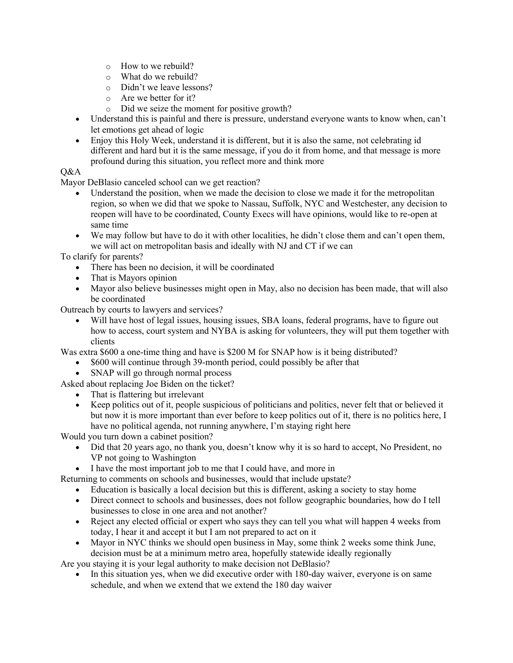- o How to we rebuild?
- o What do we rebuild?
- o Didn't we leave lessons?
- o Are we better for it?
- o Did we seize the moment for positive growth?
- Understand this is painful and there is pressure, understand everyone wants to know when, can't let emotions get ahead of logic
- Enjoy this Holy Week, understand it is different, but it is also the same, not celebrating id different and hard but it is the same message, if you do it from home, and that message is more profound during this situation, you reflect more and think more

## Q&A

Mayor DeBlasio canceled school can we get reaction?

- Understand the position, when we made the decision to close we made it for the metropolitan region, so when we did that we spoke to Nassau, Suffolk, NYC and Westchester, any decision to reopen will have to be coordinated, County Execs will have opinions, would like to re-open at same time
- We may follow but have to do it with other localities, he didn't close them and can't open them, we will act on metropolitan basis and ideally with NJ and CT if we can

To clarify for parents?

- There has been no decision, it will be coordinated
- That is Mayors opinion
- Mayor also believe businesses might open in May, also no decision has been made, that will also be coordinated

Outreach by courts to lawyers and services?

• Will have host of legal issues, housing issues, SBA loans, federal programs, have to figure out how to access, court system and NYBA is asking for volunteers, they will put them together with clients

Was extra \$600 a one-time thing and have is \$200 M for SNAP how is it being distributed?

- \$600 will continue through 39-month period, could possibly be after that
- SNAP will go through normal process
- Asked about replacing Joe Biden on the ticket?
	- That is flattering but irrelevant
	- Keep politics out of it, people suspicious of politicians and politics, never felt that or believed it but now it is more important than ever before to keep politics out of it, there is no politics here, I have no political agenda, not running anywhere, I'm staying right here

Would you turn down a cabinet position?

- Did that 20 years ago, no thank you, doesn't know why it is so hard to accept, No President, no VP not going to Washington
- I have the most important job to me that I could have, and more in

Returning to comments on schools and businesses, would that include upstate?

- Education is basically a local decision but this is different, asking a society to stay home
- Direct connect to schools and businesses, does not follow geographic boundaries, how do I tell businesses to close in one area and not another?
- Reject any elected official or expert who says they can tell you what will happen 4 weeks from today, I hear it and accept it but I am not prepared to act on it
- Mayor in NYC thinks we should open business in May, some think 2 weeks some think June, decision must be at a minimum metro area, hopefully statewide ideally regionally

Are you staying it is your legal authority to make decision not DeBlasio?

In this situation yes, when we did executive order with 180-day waiver, everyone is on same schedule, and when we extend that we extend the 180 day waiver